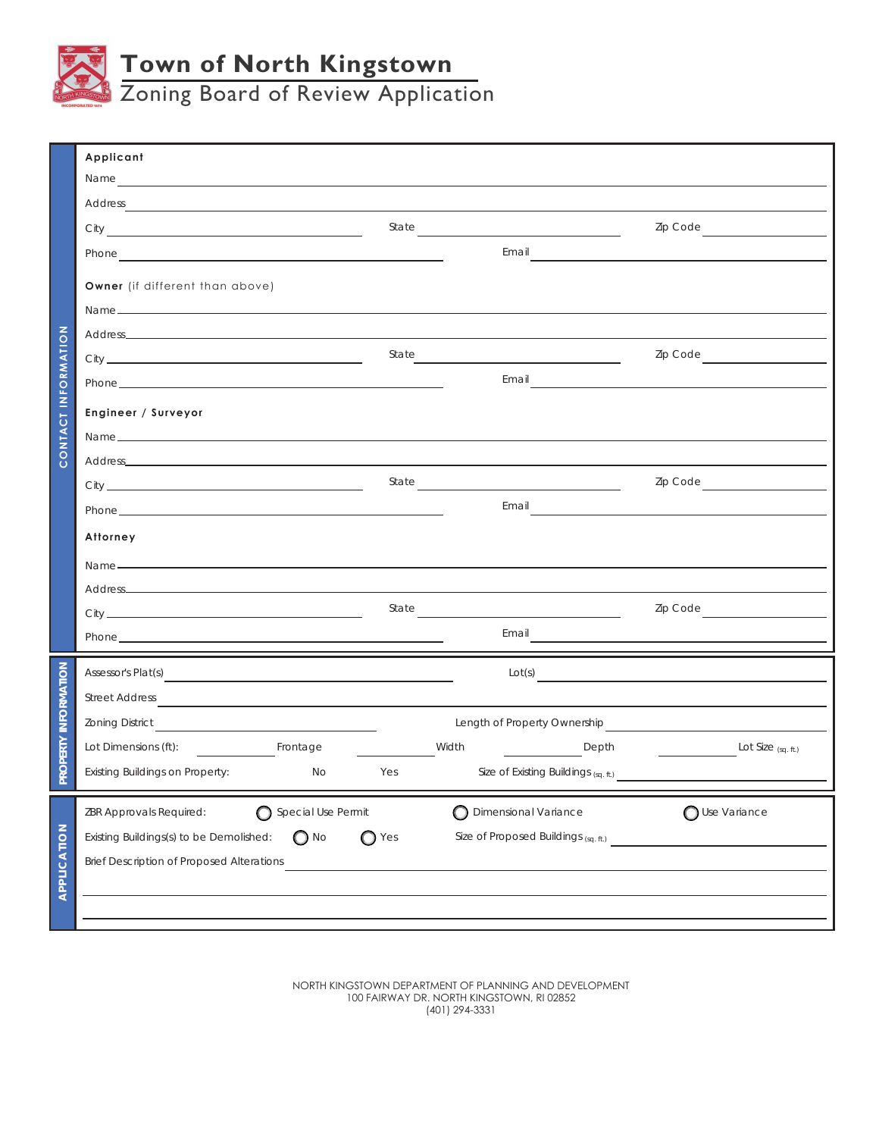

Zoning Board of Review Application

|                     | Applicant                                                                                                                                                                                                                                 |       |                               |                                      |                                                                                                                                                                                                                                      |  |  |
|---------------------|-------------------------------------------------------------------------------------------------------------------------------------------------------------------------------------------------------------------------------------------|-------|-------------------------------|--------------------------------------|--------------------------------------------------------------------------------------------------------------------------------------------------------------------------------------------------------------------------------------|--|--|
|                     |                                                                                                                                                                                                                                           |       |                               |                                      |                                                                                                                                                                                                                                      |  |  |
|                     |                                                                                                                                                                                                                                           |       |                               |                                      | Zip Code                                                                                                                                                                                                                             |  |  |
|                     | Phone example and the state of the state of the state of the state of the state of the state of the state of the state of the state of the state of the state of the state of the state of the state of the state of the state            |       |                               |                                      |                                                                                                                                                                                                                                      |  |  |
|                     | Owner (if different than above)                                                                                                                                                                                                           |       |                               |                                      |                                                                                                                                                                                                                                      |  |  |
| CONTACT INFORMATION |                                                                                                                                                                                                                                           |       |                               |                                      |                                                                                                                                                                                                                                      |  |  |
|                     |                                                                                                                                                                                                                                           |       |                               |                                      |                                                                                                                                                                                                                                      |  |  |
|                     |                                                                                                                                                                                                                                           |       | State                         |                                      | Zip Code <u>________________</u>                                                                                                                                                                                                     |  |  |
|                     |                                                                                                                                                                                                                                           |       |                               |                                      | Email <b>Exercise Contract Contract Contract Contract Contract Contract Contract Contract Contract Contract Contract Contract Contract Contract Contract Contract Contract Contract Contract Contract Contract Contract Contract</b> |  |  |
|                     | Engineer / Surveyor                                                                                                                                                                                                                       |       |                               |                                      |                                                                                                                                                                                                                                      |  |  |
|                     | Name $\overline{\phantom{a}}$                                                                                                                                                                                                             |       |                               |                                      |                                                                                                                                                                                                                                      |  |  |
|                     |                                                                                                                                                                                                                                           |       |                               |                                      |                                                                                                                                                                                                                                      |  |  |
|                     |                                                                                                                                                                                                                                           |       |                               |                                      | Zip Code<br><u> 1999 - Jan Jawa</u>                                                                                                                                                                                                  |  |  |
|                     | Phone <b>Example 20</b> Phone <b>Phone Example 20</b> Phone <b>Phone Phone Phone Phone Phone Phone Phone Phone Phone Phone Phone Phone Phone Phone Phone Phone Phone Phone Phone Phone Phone P</b>                                        |       |                               | Email                                |                                                                                                                                                                                                                                      |  |  |
|                     | Attorney                                                                                                                                                                                                                                  |       |                               |                                      |                                                                                                                                                                                                                                      |  |  |
|                     |                                                                                                                                                                                                                                           |       |                               |                                      |                                                                                                                                                                                                                                      |  |  |
|                     |                                                                                                                                                                                                                                           |       |                               |                                      |                                                                                                                                                                                                                                      |  |  |
|                     |                                                                                                                                                                                                                                           |       | State                         |                                      | Zip Code                                                                                                                                                                                                                             |  |  |
|                     | Phone <b>Example 2018</b> Phone <b>Contract Contract Contract Contract Contract Contract Contract Contract Contract Contract Contract Contract Contract Contract Contract Contract Contract Contract Contract Contract Contract Contr</b> |       | Email                         |                                      |                                                                                                                                                                                                                                      |  |  |
|                     | Assessor's Plat(s) <b>Example 2</b> Assessor's Plat(s)<br>Lot(s)                                                                                                                                                                          |       |                               |                                      |                                                                                                                                                                                                                                      |  |  |
| ROPERTY INFORMATION | Street Address                                                                                                                                                                                                                            |       |                               |                                      |                                                                                                                                                                                                                                      |  |  |
|                     |                                                                                                                                                                                                                                           |       |                               |                                      | Length of Property Ownership <b>Community Community Community Community</b>                                                                                                                                                          |  |  |
|                     |                                                                                                                                                                                                                                           | Width |                               | Depth                                | $Lot Size$ <sub>(sq. ft.)</sub>                                                                                                                                                                                                      |  |  |
|                     | Existing Buildings on Property:<br>No                                                                                                                                                                                                     | Yes   |                               | Size of Existing Buildings (sq. ft.) |                                                                                                                                                                                                                                      |  |  |
|                     | Special Use Permit<br>ZBR Approvals Required:                                                                                                                                                                                             |       | <b>O</b> Dimensional Variance |                                      | O Use Variance                                                                                                                                                                                                                       |  |  |
|                     | $\bigcirc$ No<br>Existing Buildings(s) to be Demolished:                                                                                                                                                                                  | ◯ Yes |                               | Size of Proposed Buildings (sq. ft.) |                                                                                                                                                                                                                                      |  |  |
| APPLICATION         | <b>Brief Description of Proposed Alterations</b>                                                                                                                                                                                          |       |                               |                                      |                                                                                                                                                                                                                                      |  |  |
|                     |                                                                                                                                                                                                                                           |       |                               |                                      |                                                                                                                                                                                                                                      |  |  |
|                     |                                                                                                                                                                                                                                           |       |                               |                                      |                                                                                                                                                                                                                                      |  |  |
|                     |                                                                                                                                                                                                                                           |       |                               |                                      |                                                                                                                                                                                                                                      |  |  |

NORTH KINGSTOWN DEPARTMENT OF PLANNING AND DEVELOPMENT 100 FAIRWAY DR. NORTH KINGSTOWN, RI 02852 (401) 294-3331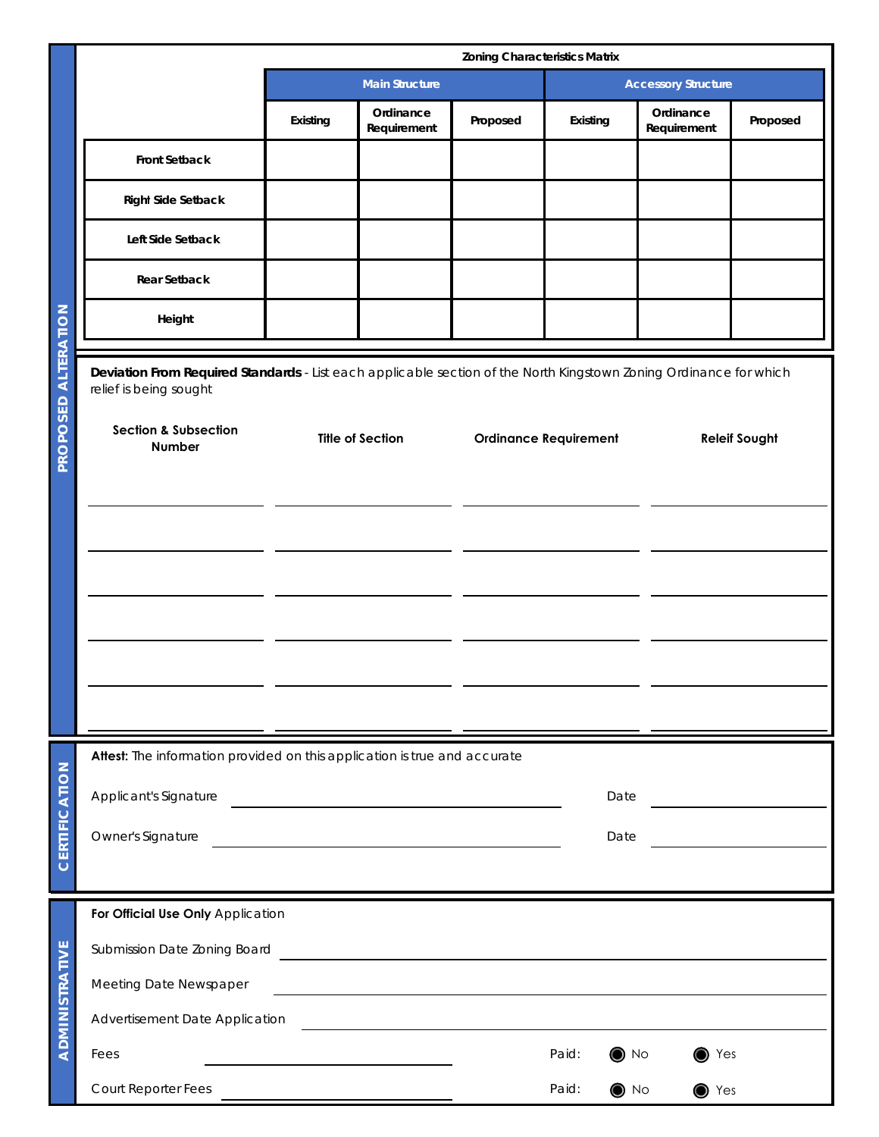|                            |                                                                                                                         | <b>Zoning Characteristics Matrix</b>                                                                                                          |                          |                              |                       |                            |          |  |
|----------------------------|-------------------------------------------------------------------------------------------------------------------------|-----------------------------------------------------------------------------------------------------------------------------------------------|--------------------------|------------------------------|-----------------------|----------------------------|----------|--|
|                            |                                                                                                                         |                                                                                                                                               | <b>Main Structure</b>    |                              |                       | <b>Accessory Structure</b> |          |  |
|                            |                                                                                                                         | Existing                                                                                                                                      | Ordinance<br>Requirement | Proposed                     | Existing              | Ordinance<br>Requirement   | Proposed |  |
| ALTERATION<br>SED<br>PROPO | <b>Front Setback</b>                                                                                                    |                                                                                                                                               |                          |                              |                       |                            |          |  |
|                            | <b>Right Side Setback</b>                                                                                               |                                                                                                                                               |                          |                              |                       |                            |          |  |
|                            | Left Side Setback                                                                                                       |                                                                                                                                               |                          |                              |                       |                            |          |  |
|                            | <b>Rear Setback</b>                                                                                                     |                                                                                                                                               |                          |                              |                       |                            |          |  |
|                            | Height                                                                                                                  |                                                                                                                                               |                          |                              |                       |                            |          |  |
|                            | relief is being sought<br><b>Section &amp; Subsection</b><br>Number                                                     | Deviation From Required Standards - List each applicable section of the North Kingstown Zoning Ordinance for which<br><b>Title of Section</b> |                          | <b>Ordinance Requirement</b> |                       | <b>Releif Sought</b>       |          |  |
| CERTIFICATION              | Attest: The information provided on this application is true and accurate<br>Applicant's Signature<br>Owner's Signature |                                                                                                                                               |                          |                              | Date<br>Date          |                            |          |  |
| ADMINISTRATIVE             | For Official Use Only Application                                                                                       |                                                                                                                                               |                          |                              |                       |                            |          |  |
|                            | Submission Date Zoning Board                                                                                            |                                                                                                                                               |                          |                              |                       |                            |          |  |
|                            | Meeting Date Newspaper                                                                                                  |                                                                                                                                               |                          |                              |                       |                            |          |  |
|                            | Advertisement Date Application                                                                                          |                                                                                                                                               |                          |                              |                       |                            |          |  |
|                            | Fees                                                                                                                    |                                                                                                                                               |                          |                              | Paid:<br>$\bullet$ No | $\bullet$ Yes              |          |  |
|                            | Court Reporter Fees                                                                                                     |                                                                                                                                               |                          |                              | Paid:<br>$\bullet$ No | $\bullet$ Yes              |          |  |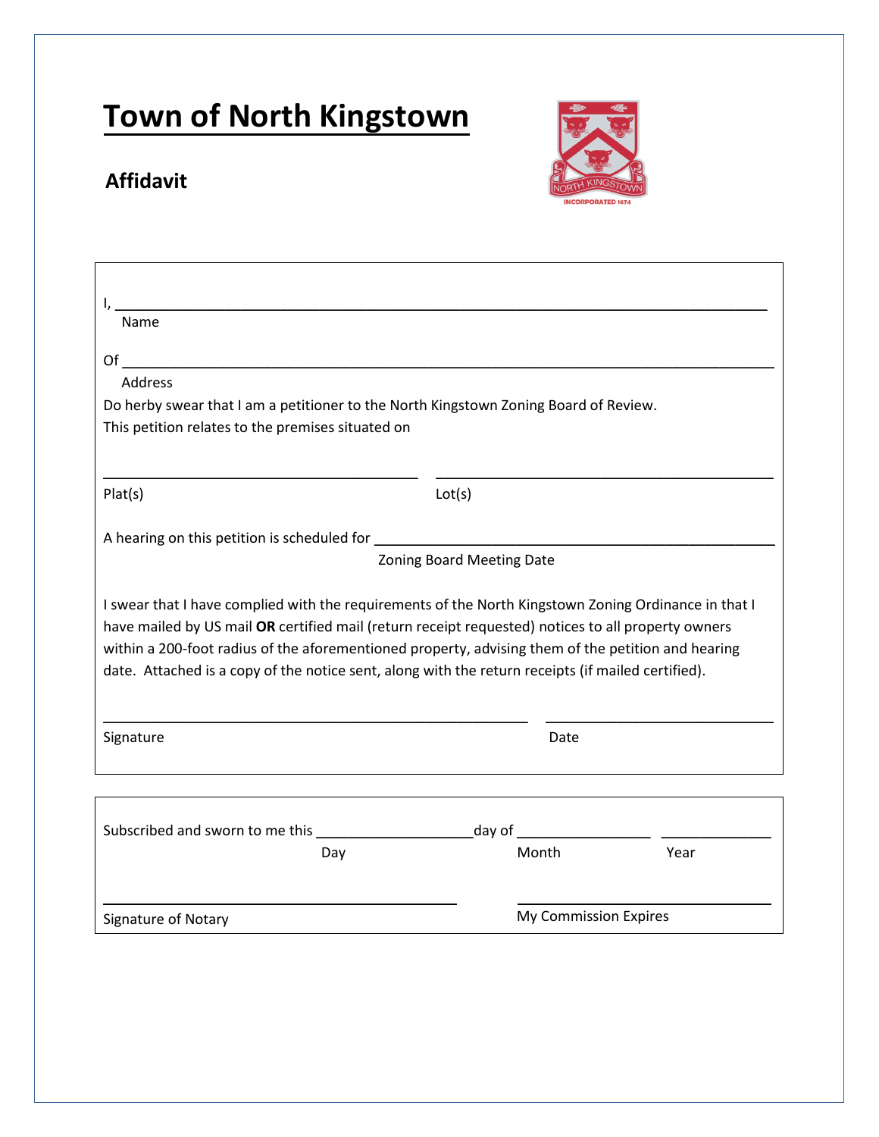## **Affidavit**



| Name                                                                                                                                                                                                                                                                                                                                                                                                                   |                           |                       |      |
|------------------------------------------------------------------------------------------------------------------------------------------------------------------------------------------------------------------------------------------------------------------------------------------------------------------------------------------------------------------------------------------------------------------------|---------------------------|-----------------------|------|
| $Of$ and $Of$ and $Of$ and $Of$ and $Of$ and $Of$ and $Of$ and $Of$ and $Of$ and $Of$ and $Of$ and $Of$ and $Of$ and $Of$ and $Of$ and $Of$ and $Of$ and $Of$ and $Of$ and $Of$ and $Of$ and $Of$ and $Of$ and $Of$ and $Of$ and $Of$ and $Of$ and $Of$ a                                                                                                                                                              |                           |                       |      |
| <b>Address</b>                                                                                                                                                                                                                                                                                                                                                                                                         |                           |                       |      |
| Do herby swear that I am a petitioner to the North Kingstown Zoning Board of Review.                                                                                                                                                                                                                                                                                                                                   |                           |                       |      |
| This petition relates to the premises situated on                                                                                                                                                                                                                                                                                                                                                                      |                           |                       |      |
| Plat(s)                                                                                                                                                                                                                                                                                                                                                                                                                | Lot(s)                    |                       |      |
|                                                                                                                                                                                                                                                                                                                                                                                                                        |                           |                       |      |
|                                                                                                                                                                                                                                                                                                                                                                                                                        | Zoning Board Meeting Date |                       |      |
| I swear that I have complied with the requirements of the North Kingstown Zoning Ordinance in that I<br>have mailed by US mail OR certified mail (return receipt requested) notices to all property owners<br>within a 200-foot radius of the aforementioned property, advising them of the petition and hearing<br>date. Attached is a copy of the notice sent, along with the return receipts (if mailed certified). |                           |                       |      |
| Signature                                                                                                                                                                                                                                                                                                                                                                                                              |                           | Date                  |      |
|                                                                                                                                                                                                                                                                                                                                                                                                                        |                           |                       |      |
|                                                                                                                                                                                                                                                                                                                                                                                                                        |                           |                       |      |
| Day                                                                                                                                                                                                                                                                                                                                                                                                                    |                           | Month                 | Year |
| Signature of Notary                                                                                                                                                                                                                                                                                                                                                                                                    |                           | My Commission Expires |      |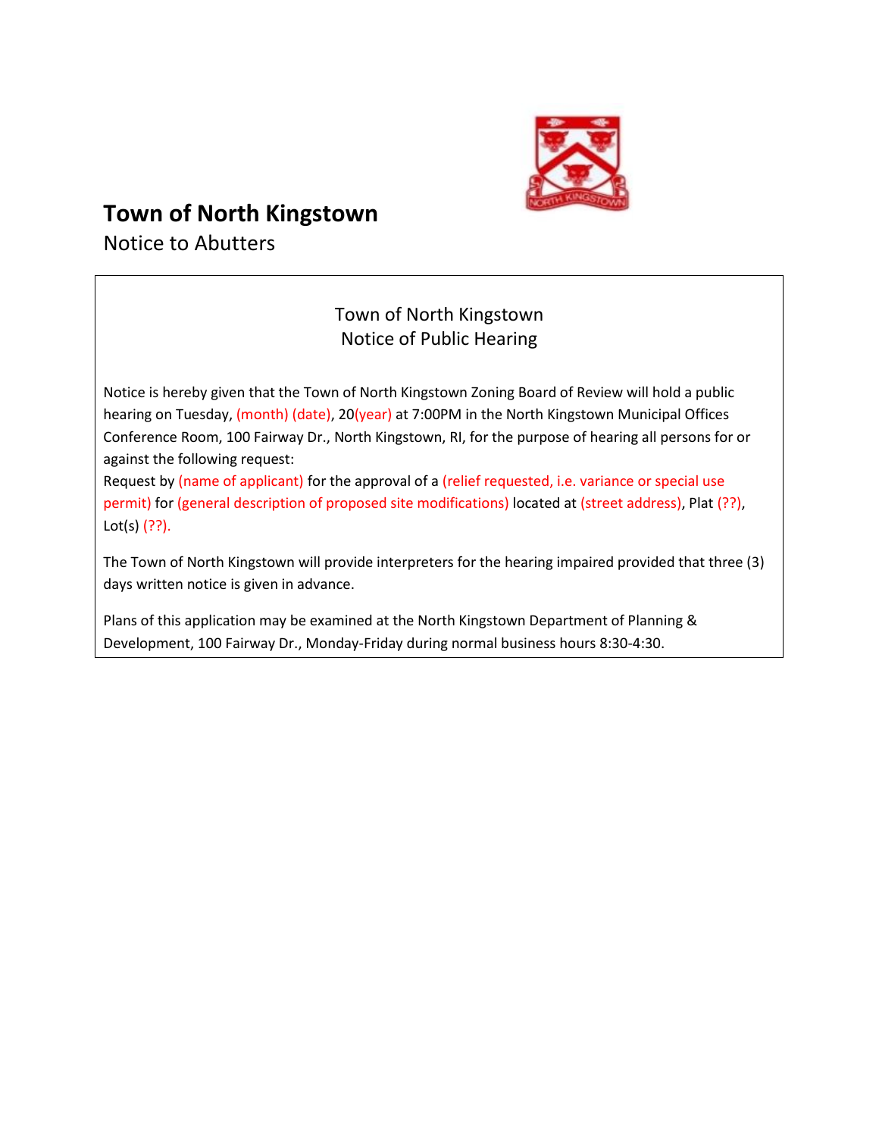

Notice to Abutters

#### Town of North Kingstown Notice of Public Hearing

Notice is hereby given that the Town of North Kingstown Zoning Board of Review will hold a public hearing on Tuesday, (month) (date), 20(year) at 7:00PM in the North Kingstown Municipal Offices Conference Room, 100 Fairway Dr., North Kingstown, RI, for the purpose of hearing all persons for or against the following request:

Request by (name of applicant) for the approval of a (relief requested, i.e. variance or special use permit) for (general description of proposed site modifications) located at (street address), Plat (??), Lot(s) (??).

The Town of North Kingstown will provide interpreters for the hearing impaired provided that three (3) days written notice is given in advance.

Plans of this application may be examined at the North Kingstown Department of Planning & Development, 100 Fairway Dr., Monday-Friday during normal business hours 8:30-4:30.